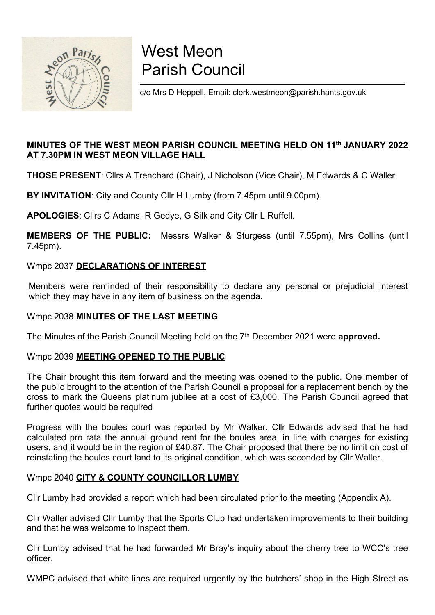

# West Meon Parish Council

c/o Mrs D Heppell, Email: clerk.westmeon@parish.hants.gov.uk

#### MINUTES OF THE WEST MEON PARISH COUNCIL MEETING HELD ON 11th JANUARY 2022 AT 7.30PM IN WEST MEON VILLAGE HALL

THOSE PRESENT: Cllrs A Trenchard (Chair), J Nicholson (Vice Chair), M Edwards & C Waller.

BY INVITATION: City and County Cllr H Lumby (from 7.45pm until 9.00pm).

APOLOGIES: Cllrs C Adams, R Gedye, G Silk and City Cllr L Ruffell.

MEMBERS OF THE PUBLIC: Messrs Walker & Sturgess (until 7.55pm), Mrs Collins (until 7.45pm).

#### Wmpc 2037 DECLARATIONS OF INTEREST

Members were reminded of their responsibility to declare any personal or prejudicial interest which they may have in any item of business on the agenda.

#### Wmpc 2038 MINUTES OF THE LAST MEETING

The Minutes of the Parish Council Meeting held on the 7<sup>th</sup> December 2021 were approved.

#### Wmpc 2039 MEETING OPENED TO THE PUBLIC

The Chair brought this item forward and the meeting was opened to the public. One member of the public brought to the attention of the Parish Council a proposal for a replacement bench by the cross to mark the Queens platinum jubilee at a cost of £3,000. The Parish Council agreed that further quotes would be required

Progress with the boules court was reported by Mr Walker. Cllr Edwards advised that he had calculated pro rata the annual ground rent for the boules area, in line with charges for existing users, and it would be in the region of £40.87. The Chair proposed that there be no limit on cost of reinstating the boules court land to its original condition, which was seconded by Cllr Waller.

#### Wmpc 2040 CITY & COUNTY COUNCILLOR LUMBY

Cllr Lumby had provided a report which had been circulated prior to the meeting (Appendix A).

Cllr Waller advised Cllr Lumby that the Sports Club had undertaken improvements to their building and that he was welcome to inspect them.

Cllr Lumby advised that he had forwarded Mr Bray's inquiry about the cherry tree to WCC's tree officer.

WMPC advised that white lines are required urgently by the butchers' shop in the High Street as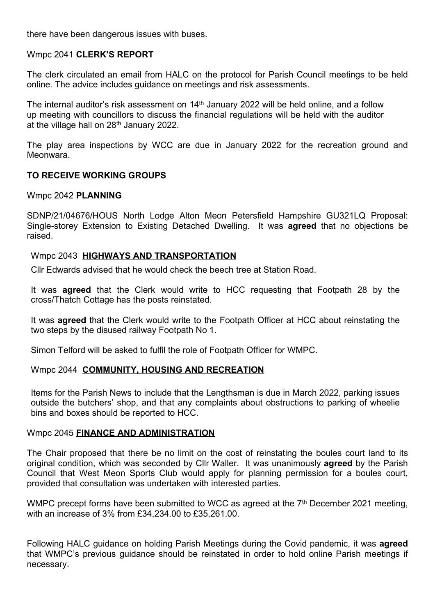there have been dangerous issues with buses.

#### Wmpc 2041 CLERK'S REPORT

The clerk circulated an email from HALC on the protocol for Parish Council meetings to be held online. The advice includes guidance on meetings and risk assessments.

The internal auditor's risk assessment on  $14<sup>th</sup>$  January 2022 will be held online, and a follow up meeting with councillors to discuss the financial regulations will be held with the auditor at the village hall on 28<sup>th</sup> January 2022.

The play area inspections by WCC are due in January 2022 for the recreation ground and Meonwara.

#### TO RECEIVE WORKING GROUPS

#### Wmpc 2042 PLANNING

SDNP/21/04676/HOUS North Lodge Alton Meon Petersfield Hampshire GU321LQ Proposal: Single-storey Extension to Existing Detached Dwelling. It was agreed that no objections be raised.

#### Wmpc 2043 HIGHWAYS AND TRANSPORTATION

Cllr Edwards advised that he would check the beech tree at Station Road.

It was **agreed** that the Clerk would write to HCC requesting that Footpath 28 by the cross/Thatch Cottage has the posts reinstated.

It was agreed that the Clerk would write to the Footpath Officer at HCC about reinstating the two steps by the disused railway Footpath No 1.

Simon Telford will be asked to fulfil the role of Footpath Officer for WMPC.

#### Wmpc 2044 COMMUNITY, HOUSING AND RECREATION

Items for the Parish News to include that the Lengthsman is due in March 2022, parking issues outside the butchers' shop, and that any complaints about obstructions to parking of wheelie bins and boxes should be reported to HCC.

#### Wmpc 2045 FINANCE AND ADMINISTRATION

The Chair proposed that there be no limit on the cost of reinstating the boules court land to its original condition, which was seconded by Cllr Waller. It was unanimously **agreed** by the Parish Council that West Meon Sports Club would apply for planning permission for a boules court, provided that consultation was undertaken with interested parties.

WMPC precept forms have been submitted to WCC as agreed at the 7<sup>th</sup> December 2021 meeting, with an increase of 3% from £34,234.00 to £35,261.00.

Following HALC guidance on holding Parish Meetings during the Covid pandemic, it was agreed that WMPC's previous guidance should be reinstated in order to hold online Parish meetings if necessary.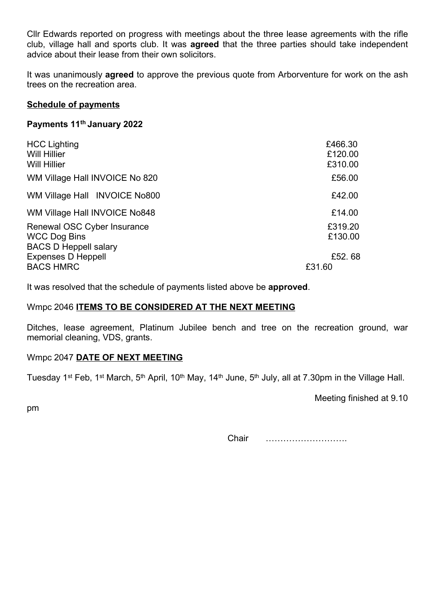Cllr Edwards reported on progress with meetings about the three lease agreements with the rifle club, village hall and sports club. It was agreed that the three parties should take independent advice about their lease from their own solicitors.

It was unanimously **agreed** to approve the previous quote from Arborventure for work on the ash trees on the recreation area.

#### Schedule of payments

#### Payments 11th January 2022

| <b>HCC Lighting</b><br><b>Will Hillier</b><br><b>Will Hillier</b>                  | £466.30<br>£120.00<br>£310.00 |
|------------------------------------------------------------------------------------|-------------------------------|
| WM Village Hall INVOICE No 820                                                     | £56.00                        |
| WM Village Hall INVOICE No800                                                      | £42.00                        |
| WM Village Hall INVOICE No848                                                      | £14.00                        |
| Renewal OSC Cyber Insurance<br><b>WCC Dog Bins</b><br><b>BACS D Heppell salary</b> | £319.20<br>£130.00            |
| <b>Expenses D Heppell</b><br><b>BACS HMRC</b>                                      | £52.68<br>£31.60              |

It was resolved that the schedule of payments listed above be approved.

#### Wmpc 2046 ITEMS TO BE CONSIDERED AT THE NEXT MEETING

Ditches, lease agreement, Platinum Jubilee bench and tree on the recreation ground, war memorial cleaning, VDS, grants.

#### Wmpc 2047 DATE OF NEXT MEETING

Tuesday 1<sup>st</sup> Feb, 1<sup>st</sup> March, 5<sup>th</sup> April, 10<sup>th</sup> May, 14<sup>th</sup> June, 5<sup>th</sup> July, all at 7.30pm in the Village Hall.

Meeting finished at 9.10

pm

Chair ……………………….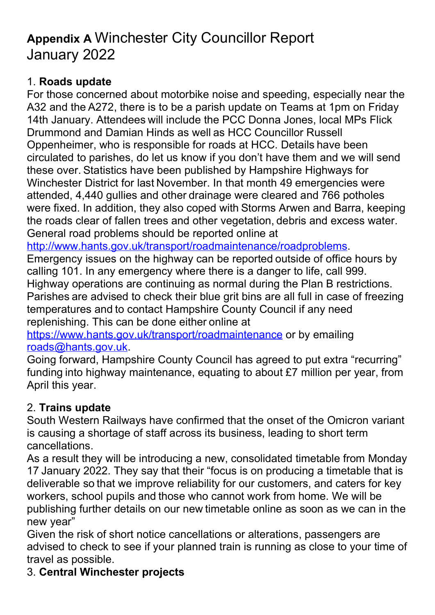# Appendix A Winchester City Councillor Report January 2022

# 1. Roads update

For those concerned about motorbike noise and speeding, especially near the A32 and the A272, there is to be a parish update on Teams at 1pm on Friday 14th January. Attendees will include the PCC Donna Jones, local MPs Flick Drummond and Damian Hinds as well as HCC Councillor Russell Oppenheimer, who is responsible for roads at HCC. Details have been circulated to parishes, do let us know if you don't have them and we will send these over. Statistics have been published by Hampshire Highways for Winchester District for last November. In that month 49 emergencies were attended, 4,440 gullies and other drainage were cleared and 766 potholes were fixed. In addition, they also coped with Storms Arwen and Barra, keeping the roads clear of fallen trees and other vegetation, debris and excess water. General road problems should be reported online at

http://www.hants.gov.uk/transport/roadmaintenance/roadproblems.

Emergency issues on the highway can be reported outside of office hours by calling 101. In any emergency where there is a danger to life, call 999. Highway operations are continuing as normal during the Plan B restrictions. Parishes are advised to check their blue grit bins are all full in case of freezing temperatures and to contact Hampshire County Council if any need replenishing. This can be done either online at

https://www.hants.gov.uk/transport/roadmaintenance or by emailing roads@hants.gov.uk.

Going forward, Hampshire County Council has agreed to put extra "recurring" funding into highway maintenance, equating to about £7 million per year, from April this year.

# 2. Trains update

South Western Railways have confirmed that the onset of the Omicron variant is causing a shortage of staff across its business, leading to short term cancellations.

As a result they will be introducing a new, consolidated timetable from Monday 17 January 2022. They say that their "focus is on producing a timetable that is deliverable so that we improve reliability for our customers, and caters for key workers, school pupils and those who cannot work from home. We will be publishing further details on our new timetable online as soon as we can in the new year"

Given the risk of short notice cancellations or alterations, passengers are advised to check to see if your planned train is running as close to your time of travel as possible.

# 3. Central Winchester projects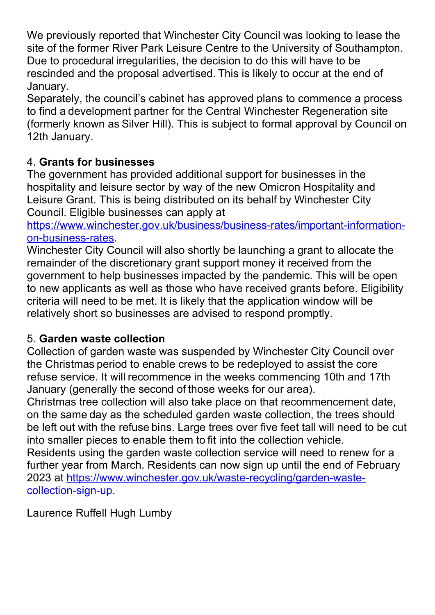We previously reported that Winchester City Council was looking to lease the site of the former River Park Leisure Centre to the University of Southampton. Due to procedural irregularities, the decision to do this will have to be rescinded and the proposal advertised. This is likely to occur at the end of January.

Separately, the council's cabinet has approved plans to commence a process to find a development partner for the Central Winchester Regeneration site (formerly known as Silver Hill). This is subject to formal approval by Council on 12th January.

# 4. Grants for businesses

The government has provided additional support for businesses in the hospitality and leisure sector by way of the new Omicron Hospitality and Leisure Grant. This is being distributed on its behalf by Winchester City Council. Eligible businesses can apply at

https://www.winchester.gov.uk/business/business-rates/important-informationon-business-rates.

Winchester City Council will also shortly be launching a grant to allocate the remainder of the discretionary grant support money it received from the government to help businesses impacted by the pandemic. This will be open to new applicants as well as those who have received grants before. Eligibility criteria will need to be met. It is likely that the application window will be relatively short so businesses are advised to respond promptly.

# 5. Garden waste collection

Collection of garden waste was suspended by Winchester City Council over the Christmas period to enable crews to be redeployed to assist the core refuse service. It will recommence in the weeks commencing 10th and 17th January (generally the second of those weeks for our area).

Christmas tree collection will also take place on that recommencement date, on the same day as the scheduled garden waste collection, the trees should be left out with the refuse bins. Large trees over five feet tall will need to be cut into smaller pieces to enable them to fit into the collection vehicle.

Residents using the garden waste collection service will need to renew for a further year from March. Residents can now sign up until the end of February 2023 at https://www.winchester.gov.uk/waste-recycling/garden-wastecollection-sign-up.

Laurence Ruffell Hugh Lumby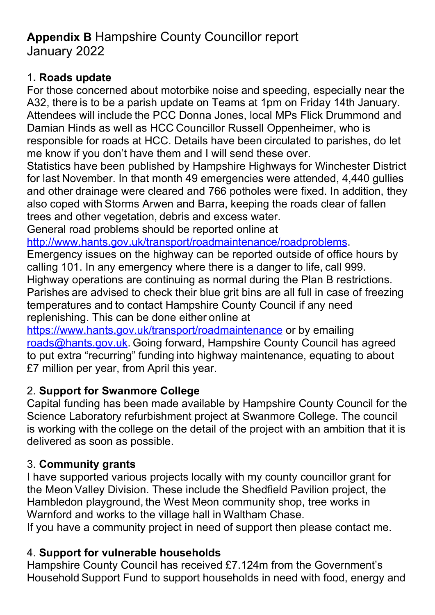# Appendix B Hampshire County Councillor report January 2022

### 1. Roads update

For those concerned about motorbike noise and speeding, especially near the A32, there is to be a parish update on Teams at 1pm on Friday 14th January. Attendees will include the PCC Donna Jones, local MPs Flick Drummond and Damian Hinds as well as HCC Councillor Russell Oppenheimer, who is responsible for roads at HCC. Details have been circulated to parishes, do let me know if you don't have them and I will send these over.

Statistics have been published by Hampshire Highways for Winchester District for last November. In that month 49 emergencies were attended, 4,440 gullies and other drainage were cleared and 766 potholes were fixed. In addition, they also coped with Storms Arwen and Barra, keeping the roads clear of fallen trees and other vegetation, debris and excess water.

General road problems should be reported online at

http://www.hants.gov.uk/transport/roadmaintenance/roadproblems.

Emergency issues on the highway can be reported outside of office hours by calling 101. In any emergency where there is a danger to life, call 999. Highway operations are continuing as normal during the Plan B restrictions. Parishes are advised to check their blue grit bins are all full in case of freezing temperatures and to contact Hampshire County Council if any need replenishing. This can be done either online at

https://www.hants.gov.uk/transport/roadmaintenance or by emailing roads@hants.gov.uk. Going forward, Hampshire County Council has agreed to put extra "recurring" funding into highway maintenance, equating to about £7 million per year, from April this year.

# 2. Support for Swanmore College

Capital funding has been made available by Hampshire County Council for the Science Laboratory refurbishment project at Swanmore College. The council is working with the college on the detail of the project with an ambition that it is delivered as soon as possible.

# 3. Community grants

I have supported various projects locally with my county councillor grant for the Meon Valley Division. These include the Shedfield Pavilion project, the Hambledon playground, the West Meon community shop, tree works in Warnford and works to the village hall in Waltham Chase.

If you have a community project in need of support then please contact me.

# 4. Support for vulnerable households

Hampshire County Council has received £7.124m from the Government's Household Support Fund to support households in need with food, energy and